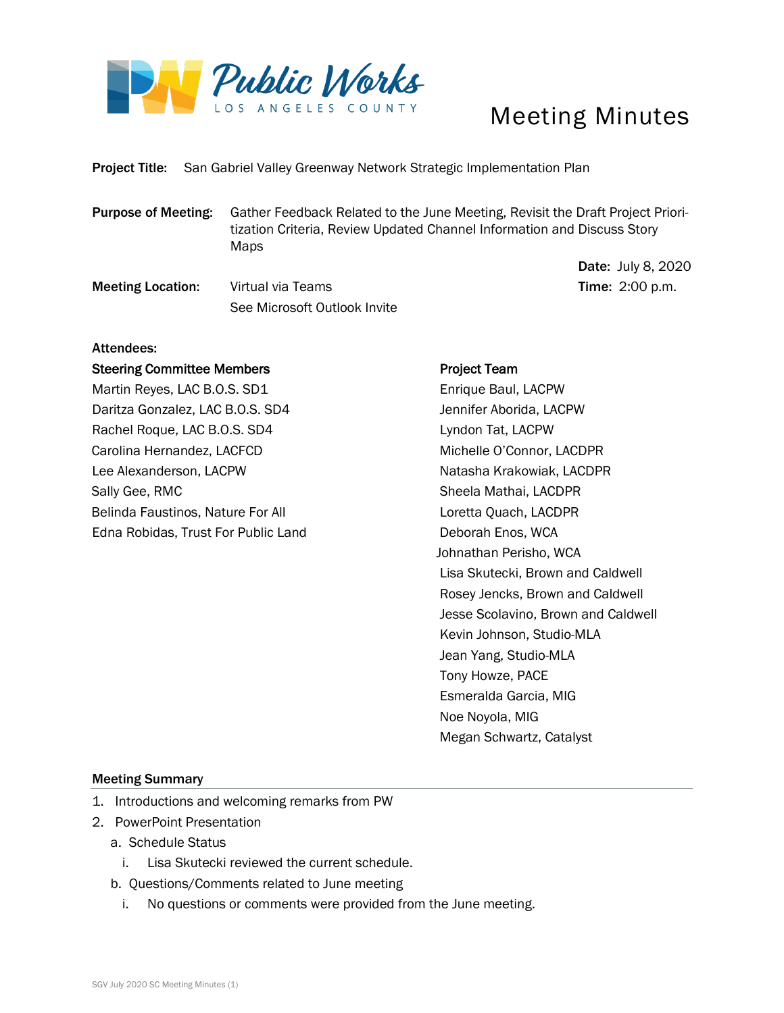

# Meeting Minutes

Date: July 8, 2020

Project Title: San Gabriel Valley Greenway Network Strategic Implementation Plan

Purpose of Meeting: Gather Feedback Related to the June Meeting, Revisit the Draft Project Prioritization Criteria, Review Updated Channel Information and Discuss Story Maps

**Meeting Location:** Virtual via Teams Time: 2:00 p.m. See Microsoft Outlook Invite

## Attendees:

## Steering Committee Members

Martin Reyes, LAC B.O.S. SD1 Daritza Gonzalez, LAC B.O.S. SD4 Rachel Roque, LAC B.O.S. SD4 Carolina Hernandez, LACFCD Lee Alexanderson, LACPW Sally Gee, RMC Belinda Faustinos, Nature For All Edna Robidas, Trust For Public Land

# Project Team

 Enrique Baul, LACPW Jennifer Aborida, LACPW Lyndon Tat, LACPW Michelle O'Connor, LACDPR Natasha Krakowiak, LACDPR Sheela Mathai, LACDPR Loretta Quach, LACDPR Deborah Enos, WCA Johnathan Perisho, WCA Lisa Skutecki, Brown and Caldwell Rosey Jencks, Brown and Caldwell Jesse Scolavino, Brown and Caldwell Kevin Johnson, Studio-MLA Jean Yang, Studio-MLA Tony Howze, PACE Esmeralda Garcia, MIG Noe Noyola, MIG Megan Schwartz, Catalyst

#### Meeting Summary

- 1. Introductions and welcoming remarks from PW
- 2. PowerPoint Presentation
	- a. Schedule Status
		- i. Lisa Skutecki reviewed the current schedule.
	- b. Questions/Comments related to June meeting
		- i. No questions or comments were provided from the June meeting.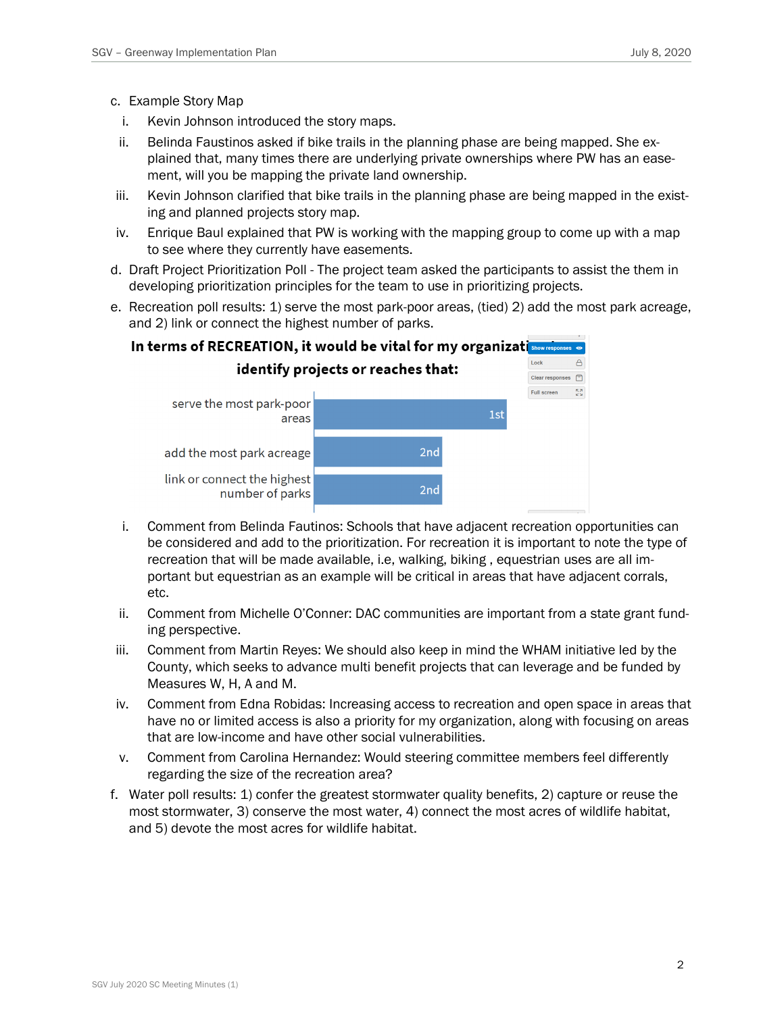- c. Example Story Map
	- i. Kevin Johnson introduced the story maps.
- ii. Belinda Faustinos asked if bike trails in the planning phase are being mapped. She explained that, many times there are underlying private ownerships where PW has an easement, will you be mapping the private land ownership.
- iii. Kevin Johnson clarified that bike trails in the planning phase are being mapped in the existing and planned projects story map.
- iv. Enrique Baul explained that PW is working with the mapping group to come up with a map to see where they currently have easements.
- d. Draft Project Prioritization Poll The project team asked the participants to assist the them in developing prioritization principles for the team to use in prioritizing projects.
- e. Recreation poll results: 1) serve the most park-poor areas, (tied) 2) add the most park acreage, and 2) link or connect the highest number of parks.



- i. Comment from Belinda Fautinos: Schools that have adjacent recreation opportunities can be considered and add to the prioritization. For recreation it is important to note the type of recreation that will be made available, i.e, walking, biking , equestrian uses are all important but equestrian as an example will be critical in areas that have adjacent corrals, etc.
- ii. Comment from Michelle O'Conner: DAC communities are important from a state grant funding perspective.
- iii. Comment from Martin Reyes: We should also keep in mind the WHAM initiative led by the County, which seeks to advance multi benefit projects that can leverage and be funded by Measures W, H, A and M.
- iv. Comment from Edna Robidas: Increasing access to recreation and open space in areas that have no or limited access is also a priority for my organization, along with focusing on areas that are low-income and have other social vulnerabilities.
- v. Comment from Carolina Hernandez: Would steering committee members feel differently regarding the size of the recreation area?
- f. Water poll results: 1) confer the greatest stormwater quality benefits, 2) capture or reuse the most stormwater, 3) conserve the most water, 4) connect the most acres of wildlife habitat, and 5) devote the most acres for wildlife habitat.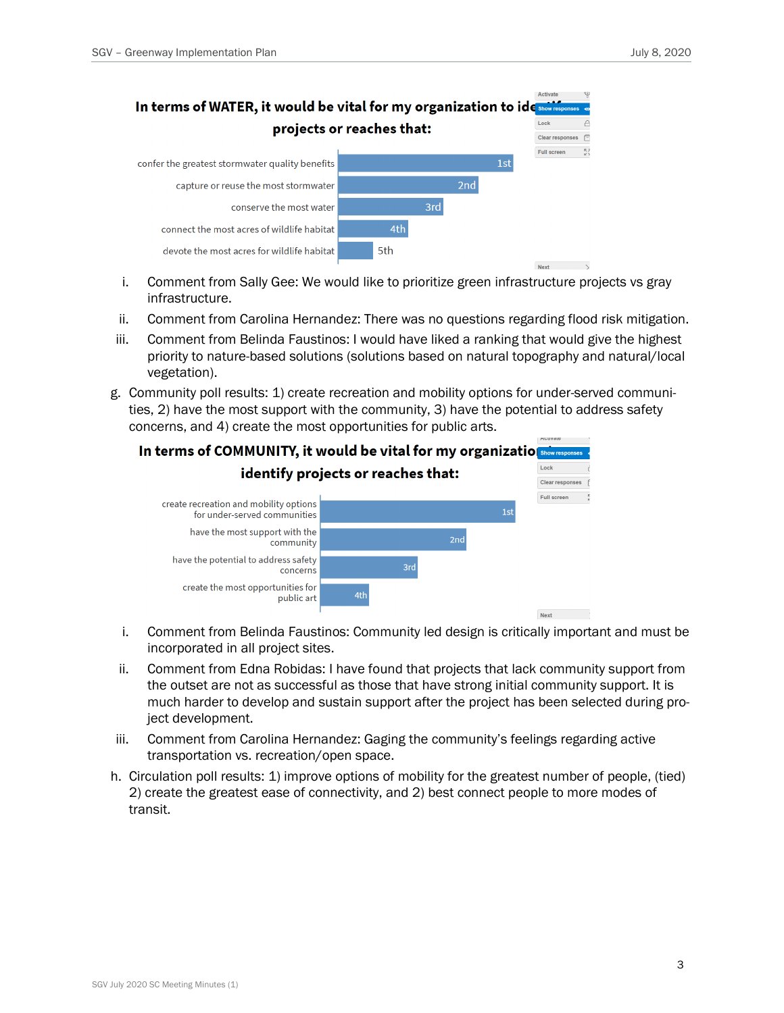

- i. Comment from Sally Gee: We would like to prioritize green infrastructure projects vs gray infrastructure.
- ii. Comment from Carolina Hernandez: There was no questions regarding flood risk mitigation.
- iii. Comment from Belinda Faustinos: I would have liked a ranking that would give the highest priority to nature-based solutions (solutions based on natural topography and natural/local vegetation).
- g. Community poll results: 1) create recreation and mobility options for under-served communities, 2) have the most support with the community, 3) have the potential to address safety concerns, and 4) create the most opportunities for public arts.



- i. Comment from Belinda Faustinos: Community led design is critically important and must be incorporated in all project sites.
- ii. Comment from Edna Robidas: I have found that projects that lack community support from the outset are not as successful as those that have strong initial community support. It is much harder to develop and sustain support after the project has been selected during project development.
- iii. Comment from Carolina Hernandez: Gaging the community's feelings regarding active transportation vs. recreation/open space.
- h. Circulation poll results: 1) improve options of mobility for the greatest number of people, (tied) 2) create the greatest ease of connectivity, and 2) best connect people to more modes of transit.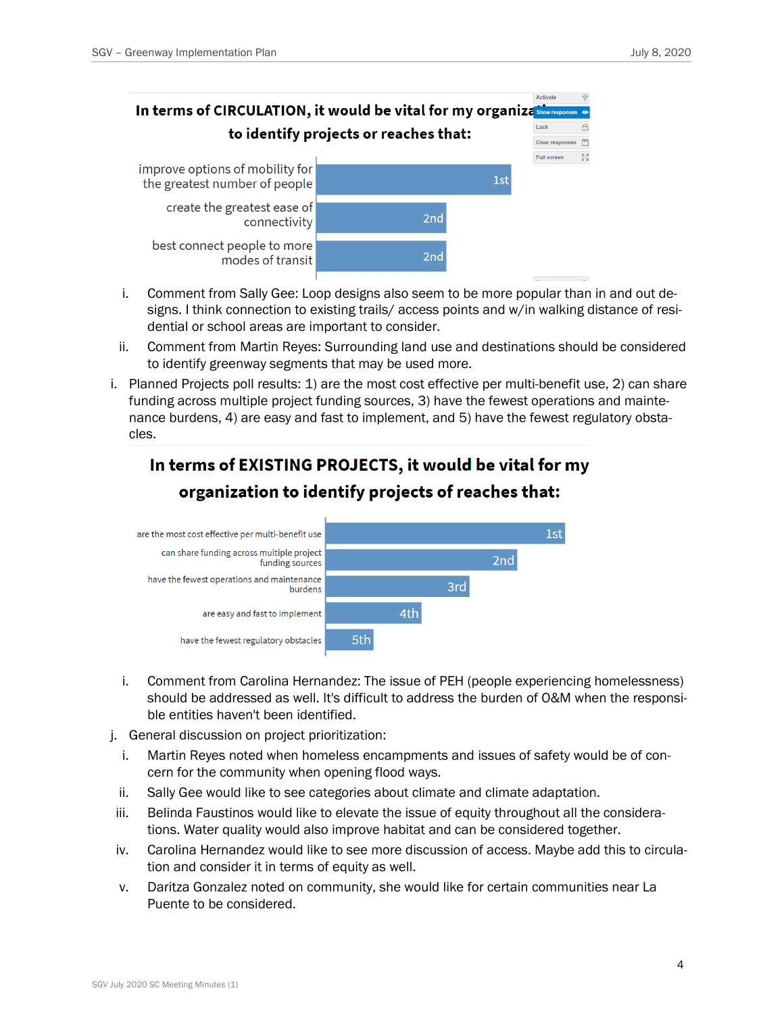

- i. Comment from Sally Gee: Loop designs also seem to be more popular than in and out designs. I think connection to existing trails/ access points and w/in walking distance of residential or school areas are important to consider.
- ii. Comment from Martin Reyes: Surrounding land use and destinations should be considered to identify greenway segments that may be used more.
- i. Planned Projects poll results: 1) are the most cost effective per multi-benefit use, 2) can share funding across multiple project funding sources, 3) have the fewest operations and maintenance burdens, 4) are easy and fast to implement, and 5) have the fewest regulatory obstacles.

# In terms of EXISTING PROJECTS, it would be vital for my organization to identify projects of reaches that:



- i. Comment from Carolina Hernandez: The issue of PEH (people experiencing homelessness) should be addressed as well. It's difficult to address the burden of O&M when the responsible entities haven't been identified.
- j. General discussion on project prioritization:
	- i. Martin Reyes noted when homeless encampments and issues of safety would be of concern for the community when opening flood ways.
- ii. Sally Gee would like to see categories about climate and climate adaptation.
- iii. Belinda Faustinos would like to elevate the issue of equity throughout all the considerations. Water quality would also improve habitat and can be considered together.
- iv. Carolina Hernandez would like to see more discussion of access. Maybe add this to circulation and consider it in terms of equity as well.
- v. Daritza Gonzalez noted on community, she would like for certain communities near La Puente to be considered.